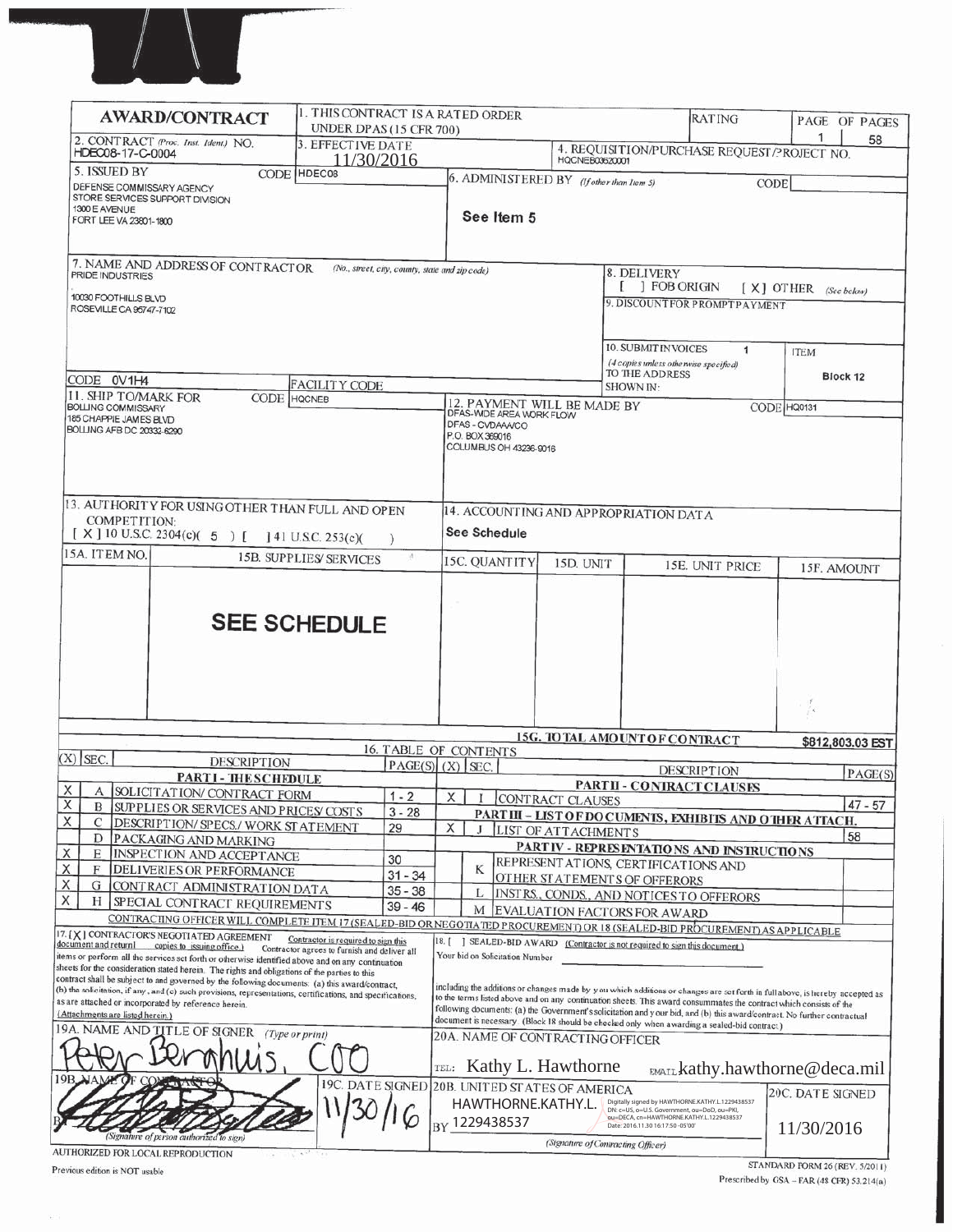

|                                                                                                         | <b>AWARD/CONTRACT</b>                                                                                                                                                                                         | 1. THIS CONTRACT IS A RATED ORDER<br>UNDER DPAS (15 CFR 700)                        |                                                    |         |                                                                                                                          |                            |                                                                                                                                                                                   | <b>RATING</b>                                                                                                                                                                                                                                   |                                | PAGE OF PAGES    |
|---------------------------------------------------------------------------------------------------------|---------------------------------------------------------------------------------------------------------------------------------------------------------------------------------------------------------------|-------------------------------------------------------------------------------------|----------------------------------------------------|---------|--------------------------------------------------------------------------------------------------------------------------|----------------------------|-----------------------------------------------------------------------------------------------------------------------------------------------------------------------------------|-------------------------------------------------------------------------------------------------------------------------------------------------------------------------------------------------------------------------------------------------|--------------------------------|------------------|
| HDEC08-17-C-0004                                                                                        | 2. CONTRACT (Proc. Inst. Ident.) NO.                                                                                                                                                                          | 3. EFFECTIVE DATE                                                                   |                                                    |         |                                                                                                                          |                            |                                                                                                                                                                                   | 4. REQUISITION/PURCHASE REQUEST/PROJECT NO.                                                                                                                                                                                                     | 1                              | 58               |
| 5. ISSUED BY                                                                                            |                                                                                                                                                                                                               | 11/30/2016<br>CODE HDEC08                                                           |                                                    |         |                                                                                                                          | <b>HQCNEB03620001</b>      |                                                                                                                                                                                   |                                                                                                                                                                                                                                                 |                                |                  |
| DEFENSE COMMISSARY AGENCY<br>STORE SERVICES SUPPORT DIVISION<br>1300 E AVENUE<br>FORT LEE VA 23801-1800 |                                                                                                                                                                                                               |                                                                                     |                                                    |         | 6. ADMINISTERED BY (If other than Item 5)<br>See Item 5                                                                  |                            |                                                                                                                                                                                   |                                                                                                                                                                                                                                                 | <b>CODE</b>                    |                  |
| PRIDE INDUSTRIES                                                                                        | 7. NAME AND ADDRESS OF CONTRACTOR                                                                                                                                                                             |                                                                                     | (No., street, city, county, state and zip code)    |         |                                                                                                                          |                            | 8. DELIVERY                                                                                                                                                                       |                                                                                                                                                                                                                                                 |                                |                  |
| 10030 FOOTHILLS BLVD                                                                                    |                                                                                                                                                                                                               |                                                                                     |                                                    |         |                                                                                                                          |                            | $[$ $]$ FOB ORIGIN                                                                                                                                                                |                                                                                                                                                                                                                                                 | [ X ] OTHER (See below)        |                  |
| ROSEVILLE CA 95747-7102                                                                                 |                                                                                                                                                                                                               |                                                                                     |                                                    |         |                                                                                                                          |                            |                                                                                                                                                                                   | 9. DISCOUNT FOR PROMPTPAYMENT                                                                                                                                                                                                                   |                                |                  |
|                                                                                                         |                                                                                                                                                                                                               |                                                                                     |                                                    |         |                                                                                                                          |                            | <b>10. SUBMIT INVOICES</b>                                                                                                                                                        | $\mathbf{1}$                                                                                                                                                                                                                                    | <b>ITEM</b>                    |                  |
| CODE 0V1H4                                                                                              |                                                                                                                                                                                                               |                                                                                     |                                                    |         |                                                                                                                          |                            | (4 copies unless otherwise specified)<br>TO THE ADDRESS                                                                                                                           |                                                                                                                                                                                                                                                 |                                | Block 12         |
| 11. SHIP TO/MARK FOR                                                                                    | CODE HOCNEB                                                                                                                                                                                                   | <b>FACILITY CODE</b>                                                                |                                                    |         |                                                                                                                          |                            | SHOWN IN:                                                                                                                                                                         |                                                                                                                                                                                                                                                 |                                |                  |
| <b>BOLLING COMMISSARY</b><br>185 CHAPPIE JAMES BLVD<br>BOLLING AFB DC 20332-6290                        |                                                                                                                                                                                                               |                                                                                     |                                                    |         | 12. PAYMENT WILL BE MADE BY<br>DFAS-WIDE AREA WORK FLOW<br>DFAS - CVDAAA/CO<br>P.O. BOX 369016<br>COLUMBUS OH 43236-9016 |                            |                                                                                                                                                                                   |                                                                                                                                                                                                                                                 | CODE HQ0131                    |                  |
|                                                                                                         | 13. AUTHORITY FOR USING OTHER THAN FULL AND OPEN                                                                                                                                                              |                                                                                     |                                                    |         |                                                                                                                          |                            | 14. ACCOUNTING AND APPROPRIATION DATA                                                                                                                                             |                                                                                                                                                                                                                                                 |                                |                  |
| <b>COMPETITION:</b>                                                                                     | [X] 10 U.S.C. 2304(c)( $\ 5$ ) [] 41 U.S.C. 253(c)(                                                                                                                                                           |                                                                                     |                                                    |         | See Schedule                                                                                                             |                            |                                                                                                                                                                                   |                                                                                                                                                                                                                                                 |                                |                  |
| 15A. ITEM NO.                                                                                           |                                                                                                                                                                                                               | <b>15B. SUPPLIES SERVICES</b>                                                       |                                                    |         | 15C. QUANTITY                                                                                                            | 15D. UNIT                  |                                                                                                                                                                                   | 15E. UNIT PRICE                                                                                                                                                                                                                                 |                                |                  |
|                                                                                                         |                                                                                                                                                                                                               |                                                                                     |                                                    |         |                                                                                                                          |                            |                                                                                                                                                                                   |                                                                                                                                                                                                                                                 |                                | 15F. AMOUNT      |
|                                                                                                         |                                                                                                                                                                                                               | <b>SEE SCHEDULE</b>                                                                 |                                                    |         |                                                                                                                          |                            |                                                                                                                                                                                   |                                                                                                                                                                                                                                                 | Á                              |                  |
|                                                                                                         |                                                                                                                                                                                                               |                                                                                     |                                                    |         |                                                                                                                          |                            | <b>15G. TO TAL AMOUNT OF CONTRACT</b>                                                                                                                                             |                                                                                                                                                                                                                                                 |                                | \$812,803.03 EST |
| $(X)$ SEC.                                                                                              | <b>DESCRIPTION</b>                                                                                                                                                                                            |                                                                                     | <b>16. TABLE OF CONTENTS</b><br>$PAGE(S)$ (X) SEC. |         |                                                                                                                          |                            |                                                                                                                                                                                   | <b>DESCRIPTION</b>                                                                                                                                                                                                                              |                                |                  |
|                                                                                                         | <b>PARTI-THESCHEDULE</b>                                                                                                                                                                                      |                                                                                     |                                                    |         |                                                                                                                          |                            |                                                                                                                                                                                   | <b>PARTII - CONTRACT CLAUSES</b>                                                                                                                                                                                                                |                                | PAGE(S)          |
| A<br>X                                                                                                  | SOLICITATION/CONTRACT FORM<br><b>B</b> SUPPLIES OR SERVICES AND PRICES COSTS                                                                                                                                  |                                                                                     | $1 - 2$                                            | X       |                                                                                                                          | CONTRACT CLAUSES           |                                                                                                                                                                                   |                                                                                                                                                                                                                                                 |                                | $47 - 57$        |
| X<br>С                                                                                                  | DESCRIPTION/ SPECS/ WORK STATEMENT                                                                                                                                                                            |                                                                                     | $3 - 28$<br>29                                     | X       |                                                                                                                          | <b>LIST OF ATTACHMENTS</b> |                                                                                                                                                                                   | PART III - LIST OF DOCUMENTS, EXHIBITS AND OTHER ATTACH.                                                                                                                                                                                        |                                |                  |
| D<br>Х<br>E                                                                                             | PACKAGING AND MARKING                                                                                                                                                                                         |                                                                                     |                                                    |         |                                                                                                                          |                            |                                                                                                                                                                                   | PARTIV - REPRESENTATIONS AND INSTRUCTIONS                                                                                                                                                                                                       |                                | 58               |
| X<br>F                                                                                                  | INSPECTION AND ACCEPTANCE<br>DELIVERIES OR PERFORMANCE                                                                                                                                                        |                                                                                     | 30                                                 |         | K                                                                                                                        |                            | REPRESENT ATIONS, CERTIFICATIONS AND                                                                                                                                              |                                                                                                                                                                                                                                                 |                                |                  |
| х<br>G                                                                                                  | CONTRACT ADMINISTRATION DATA                                                                                                                                                                                  |                                                                                     | $31 - 34$<br>$35 - 38$                             |         | L                                                                                                                        |                            | OTHER STATEMENTS OF OFFERORS                                                                                                                                                      |                                                                                                                                                                                                                                                 |                                |                  |
| X<br>Н                                                                                                  | SPECIAL CONTRACT REQUIREMENTS                                                                                                                                                                                 |                                                                                     | $39 - 46$                                          |         | M                                                                                                                        |                            | EVALUATION FACTORS FOR AWARD                                                                                                                                                      | INSTRS., CONDS., AND NOTICES TO OFFERORS                                                                                                                                                                                                        |                                |                  |
|                                                                                                         | CONTRACTING OFFICER WILL COMPLETE ITEM 17 (SEALED-BID OR NEGOTIATED PROCUREMENT) OR 18 (SEALED-BID PROCUREMENT) AS APPLICABLE                                                                                 |                                                                                     |                                                    |         |                                                                                                                          |                            |                                                                                                                                                                                   |                                                                                                                                                                                                                                                 |                                |                  |
|                                                                                                         | 17. [X] CONTRACTOR'S NEGOTI ATED AGREEMENT<br>document and return1 copies to issuing office.)                                                                                                                 | Contractor is required to sign this<br>Contractor agrees to furnish and deliver all |                                                    | $18.$ [ |                                                                                                                          |                            | [SEALED-BID AWARD (Contractor is not required to sign this document.)                                                                                                             |                                                                                                                                                                                                                                                 |                                |                  |
|                                                                                                         | items or perform all the services set forth or otherwise identified above and on any continuation<br>sheets for the consideration stated herein. The rights and obligations of the parties to this            |                                                                                     |                                                    |         | Your bid on Solicitation Number                                                                                          |                            |                                                                                                                                                                                   |                                                                                                                                                                                                                                                 |                                |                  |
|                                                                                                         | contract shall be subject to and governed by the following documents: (a) this award/contract,<br>(b) the solicitation, if any, and (c) such provisions, representations, certifications, and specifications, |                                                                                     |                                                    |         |                                                                                                                          |                            |                                                                                                                                                                                   | including the additions or changes made by you which additions or changes are set forth in full above, is hereby accepted as                                                                                                                    |                                |                  |
| (Attachments are listed herein.)                                                                        | as are attached or incorporated by reference herein.                                                                                                                                                          |                                                                                     |                                                    |         |                                                                                                                          |                            |                                                                                                                                                                                   | to the terms listed above and on any continuation sheets. This award consummates the contract which consists of the<br>following documents: (a) the Government's solicitation and your bid, and (b) this award/contract. No further contractual |                                |                  |
|                                                                                                         | 19A. NAME AND TITLE OF SIGNER                                                                                                                                                                                 | (Type or print)                                                                     |                                                    |         |                                                                                                                          |                            |                                                                                                                                                                                   | document is necessary. (Block 18 should be checked only when awarding a sealed-bid contract.)                                                                                                                                                   |                                |                  |
|                                                                                                         |                                                                                                                                                                                                               |                                                                                     |                                                    | TEL:    | 20A. NAME OF CONTRACTING OFFICER<br>Kathy L. Hawthorne                                                                   |                            |                                                                                                                                                                                   | EMAIL kathy.hawthorne@deca.mil                                                                                                                                                                                                                  |                                |                  |
|                                                                                                         |                                                                                                                                                                                                               |                                                                                     |                                                    |         | 19C. DATE SIGNED 20B. UNITED STATES OF AMERICA<br>HAWTHORNE.KATHY.L.<br>BY 1229438537                                    |                            | Digitally signed by HAWTHORNE.KATHY.L.1229438537<br>DN: c=US, o=U.S. Government, ou=DoD, ou=PKI,<br>ou=DECA, cn=HAWTHORNE.KATHY.L.1229438537<br>Date: 2016.11.30 16:17:50 -05'00' |                                                                                                                                                                                                                                                 | 20C. DATE SIGNED<br>11/30/2016 |                  |
|                                                                                                         | (Signature of person authorized to sign)<br>AUTHORIZED FOR LOCAL REPRODUCTION                                                                                                                                 |                                                                                     |                                                    |         |                                                                                                                          |                            | (Signature of Contracting Officer)                                                                                                                                                |                                                                                                                                                                                                                                                 |                                |                  |

Previous edition is NOT usable

 $\mathcal{L}$  :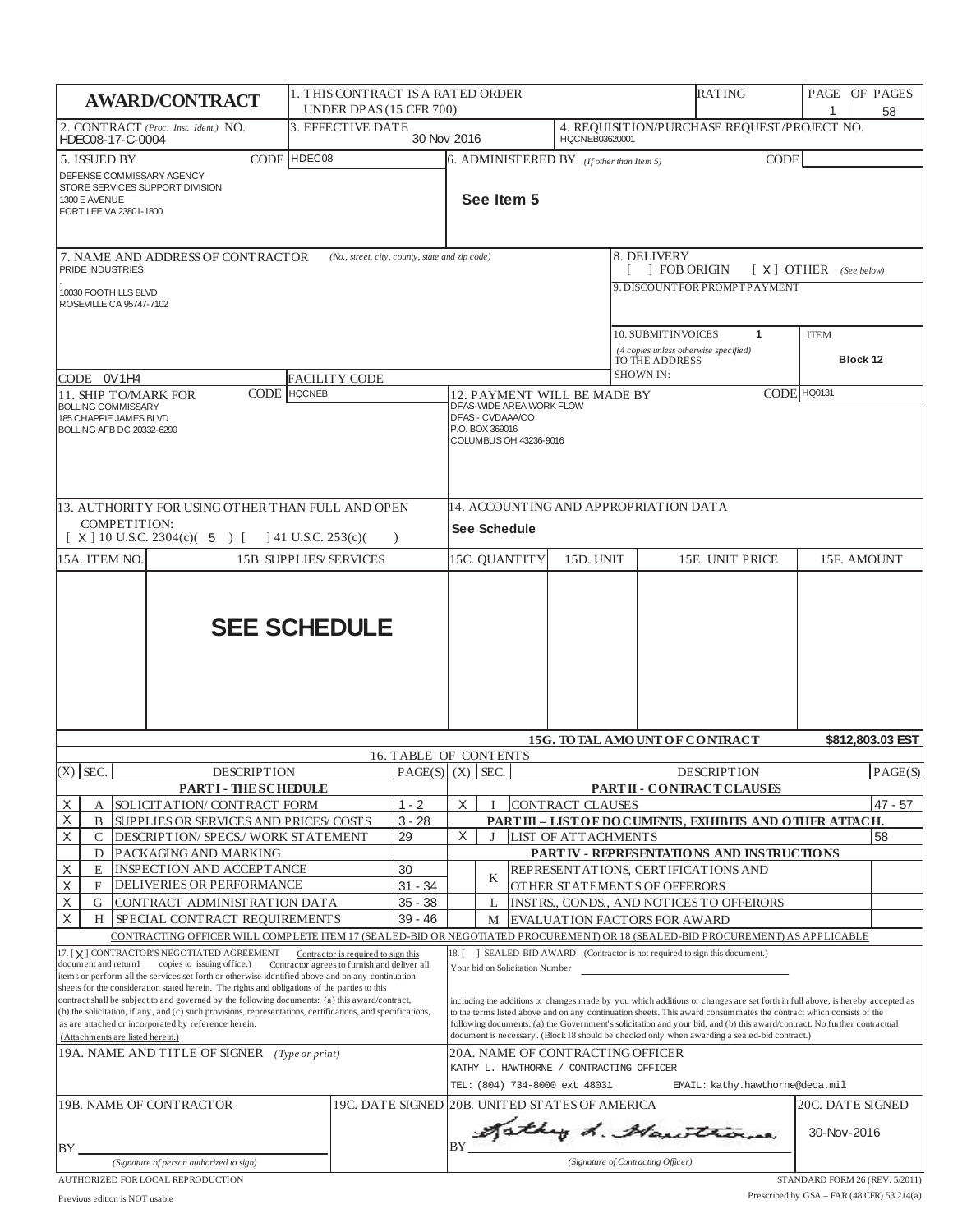|                                                                                                                                                                                                                                                                                                                                                                                                                                                                                                                                                                                                                                                                     | <b>AWARD/CONTRACT</b>                                                |                                     |  | UNDER DPAS (15 CFR 700)                                                  | 1. THIS CONTRACT IS A RATED ORDER<br><b>RATING</b>                                                                                                                                                            |                                                      |                                                                                                               |                                                |                                                                                                                                                                                                                                                                                                                                                                                                                                                                                                                     |                                                                                     | PAGE OF PAGES<br>1      | 58                      |                  |
|---------------------------------------------------------------------------------------------------------------------------------------------------------------------------------------------------------------------------------------------------------------------------------------------------------------------------------------------------------------------------------------------------------------------------------------------------------------------------------------------------------------------------------------------------------------------------------------------------------------------------------------------------------------------|----------------------------------------------------------------------|-------------------------------------|--|--------------------------------------------------------------------------|---------------------------------------------------------------------------------------------------------------------------------------------------------------------------------------------------------------|------------------------------------------------------|---------------------------------------------------------------------------------------------------------------|------------------------------------------------|---------------------------------------------------------------------------------------------------------------------------------------------------------------------------------------------------------------------------------------------------------------------------------------------------------------------------------------------------------------------------------------------------------------------------------------------------------------------------------------------------------------------|-------------------------------------------------------------------------------------|-------------------------|-------------------------|------------------|
| HDEC08-17-C-0004                                                                                                                                                                                                                                                                                                                                                                                                                                                                                                                                                                                                                                                    | 2. CONTRACT (Proc. Inst. Ident.) NO.                                 | 3. EFFECTIVE DATE                   |  |                                                                          | 30 Nov 2016<br>HQCNEB03620001                                                                                                                                                                                 |                                                      |                                                                                                               |                                                |                                                                                                                                                                                                                                                                                                                                                                                                                                                                                                                     | 4. REQUISITION/PURCHASE REQUEST/PROJECT NO.                                         |                         |                         |                  |
| CODE HDEC08<br>5. ISSUED BY<br>DEFENSE COMMISSARY AGENCY<br>STORE SERVICES SUPPORT DIVISION<br>1300 E AVENUE<br>FORT LEE VA 23801-1800                                                                                                                                                                                                                                                                                                                                                                                                                                                                                                                              |                                                                      |                                     |  | $6.$ ADMINISTERED BY (If other than Item 5)<br><b>CODE</b><br>See Item 5 |                                                                                                                                                                                                               |                                                      |                                                                                                               |                                                |                                                                                                                                                                                                                                                                                                                                                                                                                                                                                                                     |                                                                                     |                         |                         |                  |
| 7. NAME AND ADDRESS OF CONTRACTOR<br>(No., street, city, county, state and zip code)<br>PRIDE INDUSTRIES<br>10030 FOOTHILLS BLVD<br>ROSEVILLE CA 95747-7102                                                                                                                                                                                                                                                                                                                                                                                                                                                                                                         |                                                                      |                                     |  |                                                                          |                                                                                                                                                                                                               |                                                      |                                                                                                               |                                                | 8. DELIVERY<br><b>FOB ORIGIN</b><br>9. DISCOUNTFOR PROMPTPAYMENT                                                                                                                                                                                                                                                                                                                                                                                                                                                    |                                                                                     | $[X]$ OTHER (See below) |                         |                  |
| CODE 0V1H4                                                                                                                                                                                                                                                                                                                                                                                                                                                                                                                                                                                                                                                          |                                                                      | FACILITY CODE                       |  |                                                                          |                                                                                                                                                                                                               |                                                      |                                                                                                               |                                                | <b>SHOWN IN:</b>                                                                                                                                                                                                                                                                                                                                                                                                                                                                                                    | 10. SUBMIT INVOICES<br>1<br>(4 copies unless otherwise specified)<br>TO THE ADDRESS |                         | <b>ITEM</b><br>Block 12 |                  |
| 11. SHIP TO/MARK FOR                                                                                                                                                                                                                                                                                                                                                                                                                                                                                                                                                                                                                                                |                                                                      | <b>CODE</b> HQCNEB                  |  |                                                                          |                                                                                                                                                                                                               |                                                      | DFAS-WIDE AREA WORK FLOW                                                                                      | 12. PAYMENT WILL BE MADE BY                    |                                                                                                                                                                                                                                                                                                                                                                                                                                                                                                                     |                                                                                     |                         | CODE HQ0131             |                  |
| BOLLING COMMISSARY<br>185 CHAPPIE JAMES BLVD<br>BOLLING AFB DC 20332-6290<br>13. AUTHORITY FOR USING OTHER THAN FULL AND OPEN<br><b>COMPETITION:</b>                                                                                                                                                                                                                                                                                                                                                                                                                                                                                                                |                                                                      |                                     |  |                                                                          | DFAS - CVDAAA/CO<br>P.O. BOX 369016                                                                                                                                                                           | COLUMBUS OH 43236-9016                               |                                                                                                               |                                                | 14. ACCOUNTING AND APPROPRIATION DATA                                                                                                                                                                                                                                                                                                                                                                                                                                                                               |                                                                                     |                         |                         |                  |
|                                                                                                                                                                                                                                                                                                                                                                                                                                                                                                                                                                                                                                                                     | $[X]$ 10 U.S.C. 2304(c)( 5) [                                        | $\vert$ 41 U.S.C. 253(c)(           |  | $\lambda$                                                                |                                                                                                                                                                                                               | See Schedule                                         |                                                                                                               |                                                |                                                                                                                                                                                                                                                                                                                                                                                                                                                                                                                     |                                                                                     |                         |                         |                  |
| 15A. ITEM NO.                                                                                                                                                                                                                                                                                                                                                                                                                                                                                                                                                                                                                                                       |                                                                      | <b>15B. SUPPLIES/SERVICES</b>       |  |                                                                          |                                                                                                                                                                                                               | 15C. OUANTITY<br>15D. UNIT<br><b>15E. UNIT PRICE</b> |                                                                                                               |                                                | 15F. AMOUNT                                                                                                                                                                                                                                                                                                                                                                                                                                                                                                         |                                                                                     |                         |                         |                  |
| <b>SEE SCHEDULE</b>                                                                                                                                                                                                                                                                                                                                                                                                                                                                                                                                                                                                                                                 |                                                                      |                                     |  |                                                                          |                                                                                                                                                                                                               |                                                      |                                                                                                               |                                                |                                                                                                                                                                                                                                                                                                                                                                                                                                                                                                                     |                                                                                     |                         |                         |                  |
|                                                                                                                                                                                                                                                                                                                                                                                                                                                                                                                                                                                                                                                                     |                                                                      |                                     |  | 16. TABLE OF CONTENTS                                                    |                                                                                                                                                                                                               |                                                      |                                                                                                               |                                                |                                                                                                                                                                                                                                                                                                                                                                                                                                                                                                                     | 15G. TO TAL AMOUNT OF CONTRACT                                                      |                         |                         | \$812,803,03 EST |
| $(X)$ SEC.                                                                                                                                                                                                                                                                                                                                                                                                                                                                                                                                                                                                                                                          | <b>DESCRIPTION</b>                                                   |                                     |  | PAGE(S)   (X)   SEC.                                                     |                                                                                                                                                                                                               |                                                      |                                                                                                               |                                                |                                                                                                                                                                                                                                                                                                                                                                                                                                                                                                                     | <b>DESCRIPTION</b>                                                                  |                         |                         | PAGE(S)          |
|                                                                                                                                                                                                                                                                                                                                                                                                                                                                                                                                                                                                                                                                     | PARTI - THESCHEDULE                                                  |                                     |  |                                                                          |                                                                                                                                                                                                               |                                                      |                                                                                                               |                                                |                                                                                                                                                                                                                                                                                                                                                                                                                                                                                                                     | PARTII - CONTRACT CLAUSES                                                           |                         |                         |                  |
| X<br>А<br>Χ<br>B                                                                                                                                                                                                                                                                                                                                                                                                                                                                                                                                                                                                                                                    | SOLICITATION/ CONTRACT FORM<br>SUPPLIES OR SERVICES AND PRICES COSTS |                                     |  | $1 - 2$<br>$3 - 28$                                                      | CONTRACT CLAUSES<br>X<br>$47 - 57$<br>PART III - LIST OF DO CUMENTS, EXHIBITS AND OTHER ATTACH.                                                                                                               |                                                      |                                                                                                               |                                                |                                                                                                                                                                                                                                                                                                                                                                                                                                                                                                                     |                                                                                     |                         |                         |                  |
| Χ<br>C                                                                                                                                                                                                                                                                                                                                                                                                                                                                                                                                                                                                                                                              | DESCRIPTION/ SPECS./ WORK STATEMENT                                  |                                     |  | 29                                                                       | X                                                                                                                                                                                                             | J                                                    |                                                                                                               | <b>LIST OF ATTACHMENTS</b>                     |                                                                                                                                                                                                                                                                                                                                                                                                                                                                                                                     |                                                                                     |                         |                         | 58               |
| D<br>Χ<br>E                                                                                                                                                                                                                                                                                                                                                                                                                                                                                                                                                                                                                                                         | PACKAGING AND MARKING<br>INSPECTION AND ACCEPTANCE                   |                                     |  | 30                                                                       | PART IV - REPRESENTATIONS AND INSTRUCTIONS<br>REPRESENT ATIONS, CERTIFICATIONS AND                                                                                                                            |                                                      |                                                                                                               |                                                |                                                                                                                                                                                                                                                                                                                                                                                                                                                                                                                     |                                                                                     |                         |                         |                  |
| Χ<br>F                                                                                                                                                                                                                                                                                                                                                                                                                                                                                                                                                                                                                                                              | DELIVERIES OR PERFORMANCE                                            |                                     |  | $31 - 34$                                                                |                                                                                                                                                                                                               | K                                                    |                                                                                                               |                                                |                                                                                                                                                                                                                                                                                                                                                                                                                                                                                                                     | OTHER STATEMENTS OF OFFERORS                                                        |                         |                         |                  |
| Χ<br>G                                                                                                                                                                                                                                                                                                                                                                                                                                                                                                                                                                                                                                                              | CONTRACT ADMINISTRATION DATA                                         |                                     |  | $35 - 38$                                                                |                                                                                                                                                                                                               | L                                                    |                                                                                                               |                                                |                                                                                                                                                                                                                                                                                                                                                                                                                                                                                                                     | INSTRS., CONDS., AND NOTICES TO OFFERORS                                            |                         |                         |                  |
| X<br>H                                                                                                                                                                                                                                                                                                                                                                                                                                                                                                                                                                                                                                                              | SPECIAL CONTRACT REQUIREMENTS                                        |                                     |  | 39 - 46                                                                  |                                                                                                                                                                                                               | М                                                    |                                                                                                               |                                                |                                                                                                                                                                                                                                                                                                                                                                                                                                                                                                                     | EVALUATION FACTORS FOR AWARD                                                        |                         |                         |                  |
|                                                                                                                                                                                                                                                                                                                                                                                                                                                                                                                                                                                                                                                                     | 17. [X] CONTRACTOR'S NEGOTIATED AGREEMENT                            | Contractor is required to sign this |  |                                                                          | CONTRACTING OFFICER WILL COMPLETE ITEM 17 (SEALED-BID OR NEGOTIATED PROCUREMENT) OR 18 (SEALED-BID PROCUREMENT) AS APPLICABLE<br>18. [ ] SEALED-BID AWARD (Contractor is not required to sign this document.) |                                                      |                                                                                                               |                                                |                                                                                                                                                                                                                                                                                                                                                                                                                                                                                                                     |                                                                                     |                         |                         |                  |
| document and return1 copies to issuing office.)<br>Contractor agrees to furnish and deliver all<br>items or perform all the services set forth or otherwise identified above and on any continuation<br>sheets for the consideration stated herein. The rights and obligations of the parties to this<br>contract shall be subject to and governed by the following documents: (a) this award/contract,<br>(b) the solicitation, if any, and (c) such provisions, representations, certifications, and specifications,<br>as are attached or incorporated by reference herein.<br>(Attachments are listed herein.)<br>19A. NAME AND TITLE OF SIGNER (Type or print) |                                                                      |                                     |  |                                                                          |                                                                                                                                                                                                               | Your bid on Solicitation Number                      | 20A. NAME OF CONTRACTING OFFICER<br>KATHY L. HAWTHORNE / CONTRACTING OFFICER<br>TEL: (804) 734-8000 ext 48031 |                                                | including the additions or changes made by you which additions or changes are set forth in full above, is hereby accepted as<br>to the terms listed above and on any continuation sheets. This award consummates the contract which consists of the<br>following documents: (a) the Government's solicitation and your bid, and (b) this award/contract. No further contractual<br>document is necessary. (Block 18 should be checked only when awarding a sealed-bid contract.)<br>EMAIL: kathy.hawthorne@deca.mil |                                                                                     |                         |                         |                  |
| 19B. NAME OF CONTRACTOR                                                                                                                                                                                                                                                                                                                                                                                                                                                                                                                                                                                                                                             |                                                                      |                                     |  |                                                                          |                                                                                                                                                                                                               |                                                      |                                                                                                               | 19C. DATE SIGNED 20B. UNITED STATES OF AMERICA |                                                                                                                                                                                                                                                                                                                                                                                                                                                                                                                     |                                                                                     |                         | 20C. DATE SIGNED        |                  |
|                                                                                                                                                                                                                                                                                                                                                                                                                                                                                                                                                                                                                                                                     |                                                                      |                                     |  |                                                                          |                                                                                                                                                                                                               |                                                      |                                                                                                               |                                                |                                                                                                                                                                                                                                                                                                                                                                                                                                                                                                                     | BY Mathy d. Manithorne                                                              |                         | 30-Nov-2016             |                  |
| BY                                                                                                                                                                                                                                                                                                                                                                                                                                                                                                                                                                                                                                                                  | (Signature of person authorized to sign)                             |                                     |  |                                                                          |                                                                                                                                                                                                               |                                                      |                                                                                                               |                                                |                                                                                                                                                                                                                                                                                                                                                                                                                                                                                                                     | (Signature of Contracting Officer)                                                  |                         |                         |                  |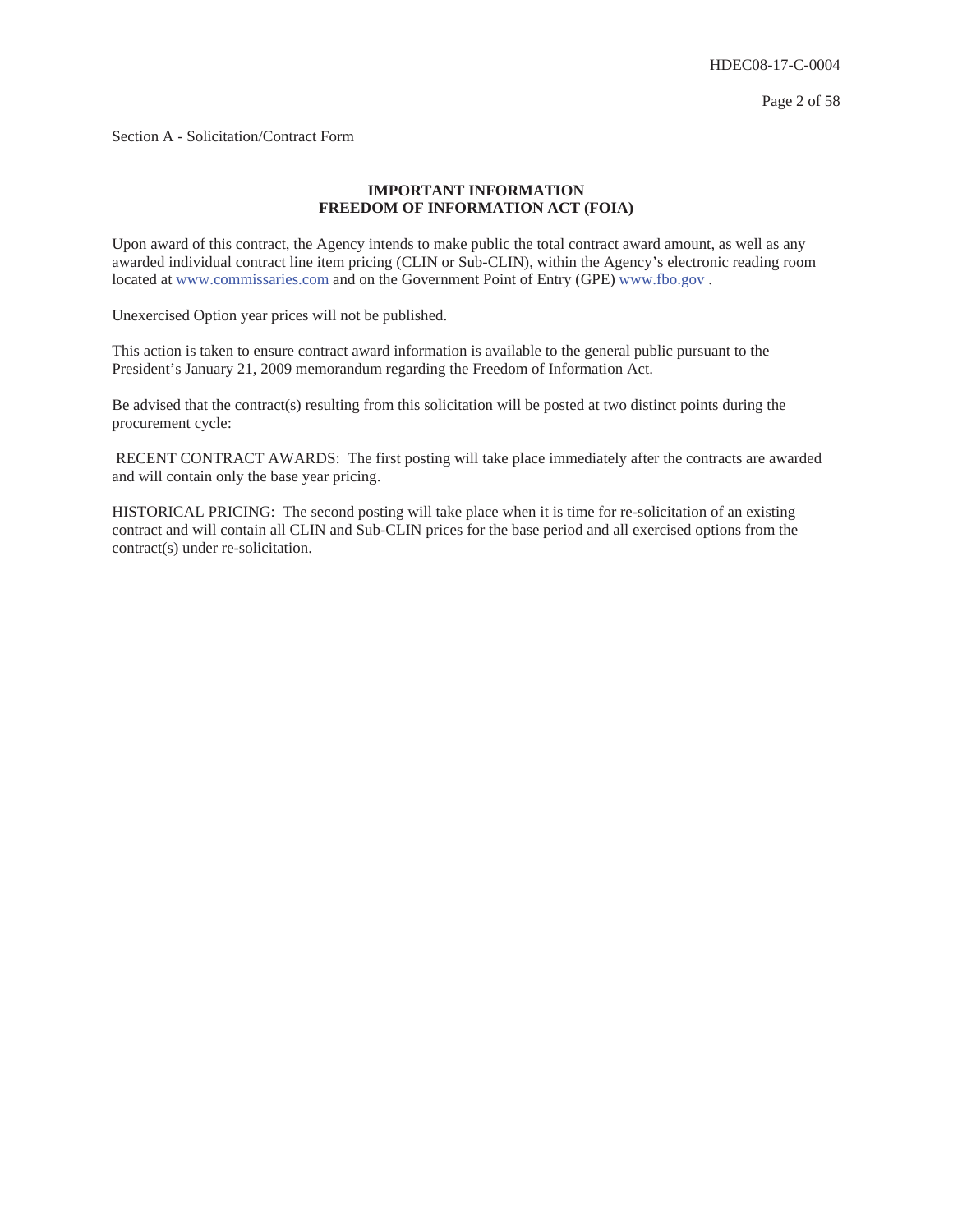Page 2 of 58

Section A - Solicitation/Contract Form

## **IMPORTANT INFORMATION FREEDOM OF INFORMATION ACT (FOIA)**

Upon award of this contract, the Agency intends to make public the total contract award amount, as well as any awarded individual contract line item pricing (CLIN or Sub-CLIN), within the Agency's electronic reading room located at www.commissaries.com and on the Government Point of Entry (GPE) www.fbo.gov .

Unexercised Option year prices will not be published.

This action is taken to ensure contract award information is available to the general public pursuant to the President's January 21, 2009 memorandum regarding the Freedom of Information Act.

Be advised that the contract(s) resulting from this solicitation will be posted at two distinct points during the procurement cycle:

 RECENT CONTRACT AWARDS: The first posting will take place immediately after the contracts are awarded and will contain only the base year pricing.

HISTORICAL PRICING: The second posting will take place when it is time for re-solicitation of an existing contract and will contain all CLIN and Sub-CLIN prices for the base period and all exercised options from the contract(s) under re-solicitation.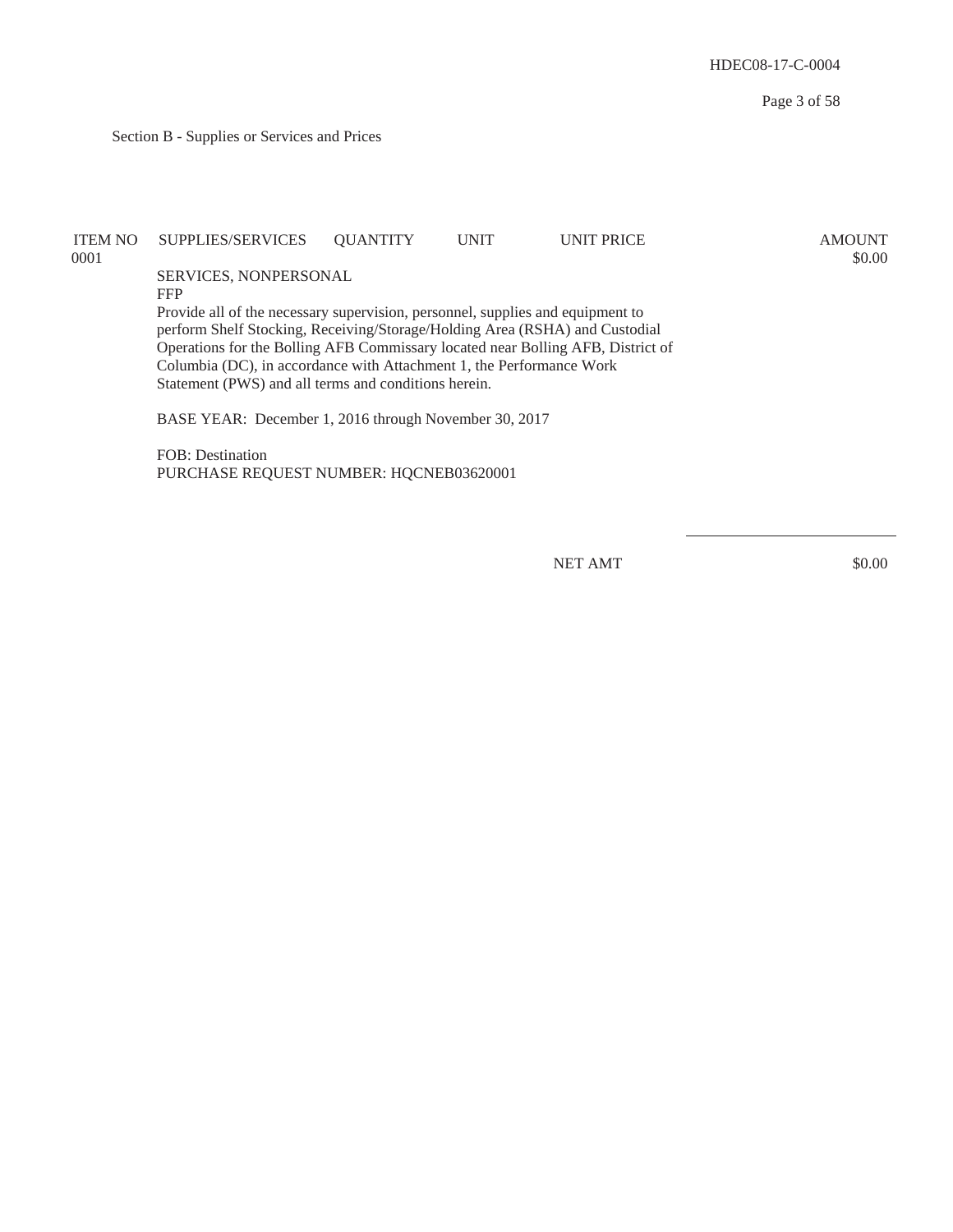Section B - Supplies or Services and Prices

| ITEM NO<br>0001 | SUPPLIES/SERVICES                                                                                                                                                                                                                                                                                                                                                                | <b>OUANTITY</b> | <b>UNIT</b> | <b>UNIT PRICE</b> | <b>AMOUNT</b><br>\$0.00 |
|-----------------|----------------------------------------------------------------------------------------------------------------------------------------------------------------------------------------------------------------------------------------------------------------------------------------------------------------------------------------------------------------------------------|-----------------|-------------|-------------------|-------------------------|
|                 | SERVICES, NONPERSONAL                                                                                                                                                                                                                                                                                                                                                            |                 |             |                   |                         |
|                 | <b>FFP</b>                                                                                                                                                                                                                                                                                                                                                                       |                 |             |                   |                         |
|                 | Provide all of the necessary supervision, personnel, supplies and equipment to<br>perform Shelf Stocking, Receiving/Storage/Holding Area (RSHA) and Custodial<br>Operations for the Bolling AFB Commissary located near Bolling AFB, District of<br>Columbia (DC), in accordance with Attachment 1, the Performance Work<br>Statement (PWS) and all terms and conditions herein. |                 |             |                   |                         |
|                 | BASE YEAR: December 1, 2016 through November 30, 2017                                                                                                                                                                                                                                                                                                                            |                 |             |                   |                         |
|                 | FOB: Destination                                                                                                                                                                                                                                                                                                                                                                 |                 |             |                   |                         |

PURCHASE REQUEST NUMBER: HQCNEB03620001

NET AMT \$0.00

Page 3 of 58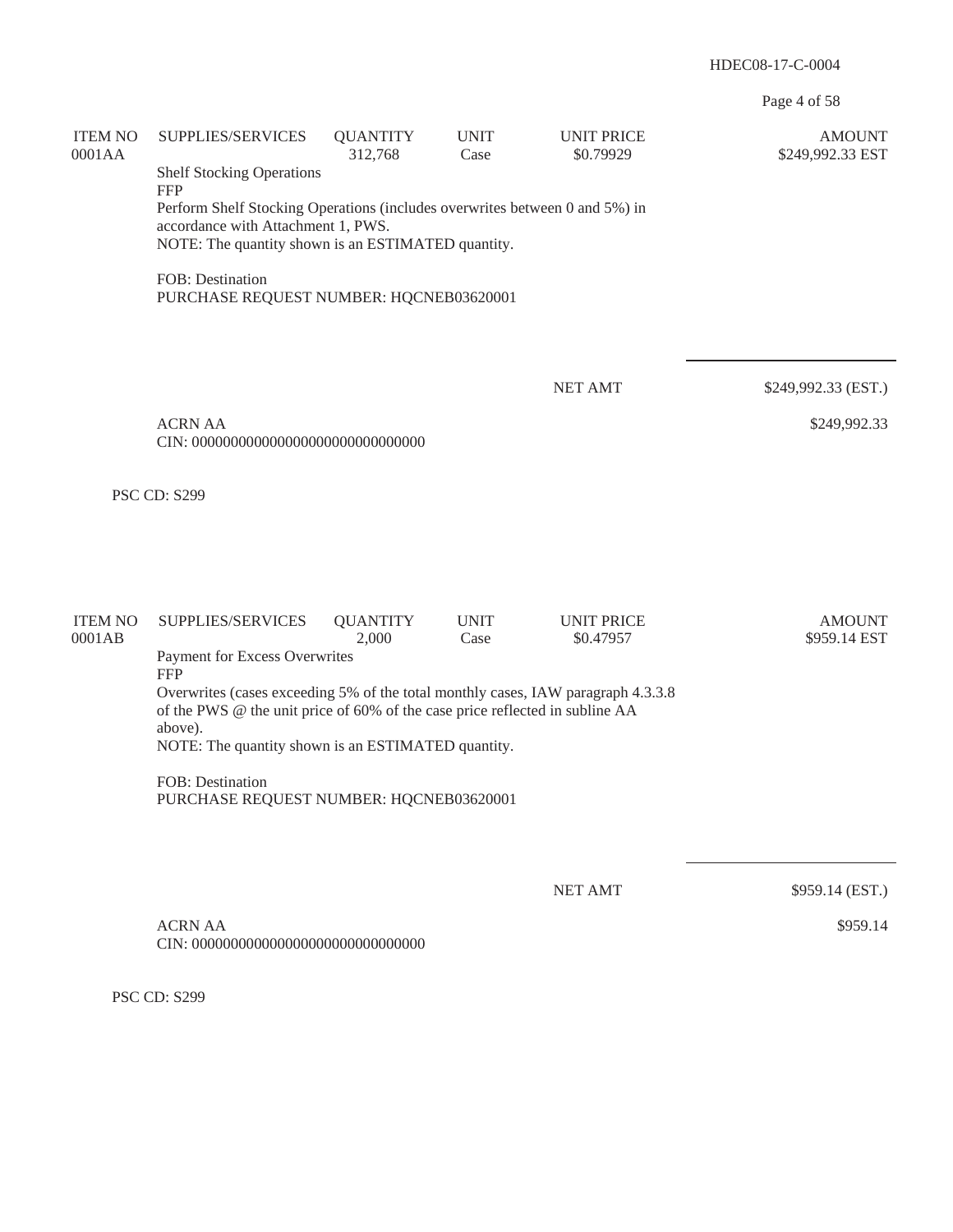Page 4 of 58

| <b>ITEM NO</b><br>0001AA                                                                                                                                                              | SUPPLIES/SERVICES<br><b>Shelf Stocking Operations</b>                                                                                         | <b>QUANTITY</b><br>312,768 | <b>UNIT</b><br>Case | <b>UNIT PRICE</b><br>\$0.79929 | <b>AMOUNT</b><br>\$249,992.33 EST |  |  |  |  |
|---------------------------------------------------------------------------------------------------------------------------------------------------------------------------------------|-----------------------------------------------------------------------------------------------------------------------------------------------|----------------------------|---------------------|--------------------------------|-----------------------------------|--|--|--|--|
| <b>FFP</b><br>Perform Shelf Stocking Operations (includes overwrites between 0 and 5%) in<br>accordance with Attachment 1, PWS.<br>NOTE: The quantity shown is an ESTIMATED quantity. |                                                                                                                                               |                            |                     |                                |                                   |  |  |  |  |
|                                                                                                                                                                                       | FOB: Destination<br>PURCHASE REQUEST NUMBER: HQCNEB03620001                                                                                   |                            |                     |                                |                                   |  |  |  |  |
|                                                                                                                                                                                       |                                                                                                                                               |                            |                     | <b>NET AMT</b>                 | \$249,992.33 (EST.)               |  |  |  |  |
|                                                                                                                                                                                       | <b>ACRN AA</b>                                                                                                                                |                            |                     |                                | \$249,992.33                      |  |  |  |  |
|                                                                                                                                                                                       | <b>PSC CD: S299</b>                                                                                                                           |                            |                     |                                |                                   |  |  |  |  |
|                                                                                                                                                                                       |                                                                                                                                               |                            |                     |                                |                                   |  |  |  |  |
| <b>ITEM NO</b><br>0001AB                                                                                                                                                              | SUPPLIES/SERVICES                                                                                                                             | <b>QUANTITY</b><br>2,000   | <b>UNIT</b><br>Case | <b>UNIT PRICE</b><br>\$0.47957 | <b>AMOUNT</b><br>\$959.14 EST     |  |  |  |  |
|                                                                                                                                                                                       | Payment for Excess Overwrites<br><b>FFP</b><br>Overwrites (cases exceeding 5% of the total monthly cases, IAW paragraph 4.3.3.8               |                            |                     |                                |                                   |  |  |  |  |
|                                                                                                                                                                                       | of the PWS @ the unit price of 60% of the case price reflected in subline AA<br>above).<br>NOTE: The quantity shown is an ESTIMATED quantity. |                            |                     |                                |                                   |  |  |  |  |
|                                                                                                                                                                                       | FOB: Destination<br>PURCHASE REQUEST NUMBER: HQCNEB03620001                                                                                   |                            |                     |                                |                                   |  |  |  |  |
|                                                                                                                                                                                       |                                                                                                                                               |                            |                     |                                |                                   |  |  |  |  |
|                                                                                                                                                                                       | <b>ACRN AA</b>                                                                                                                                |                            |                     | <b>NET AMT</b>                 | \$959.14 (EST.)<br>\$959.14       |  |  |  |  |
|                                                                                                                                                                                       |                                                                                                                                               |                            |                     |                                |                                   |  |  |  |  |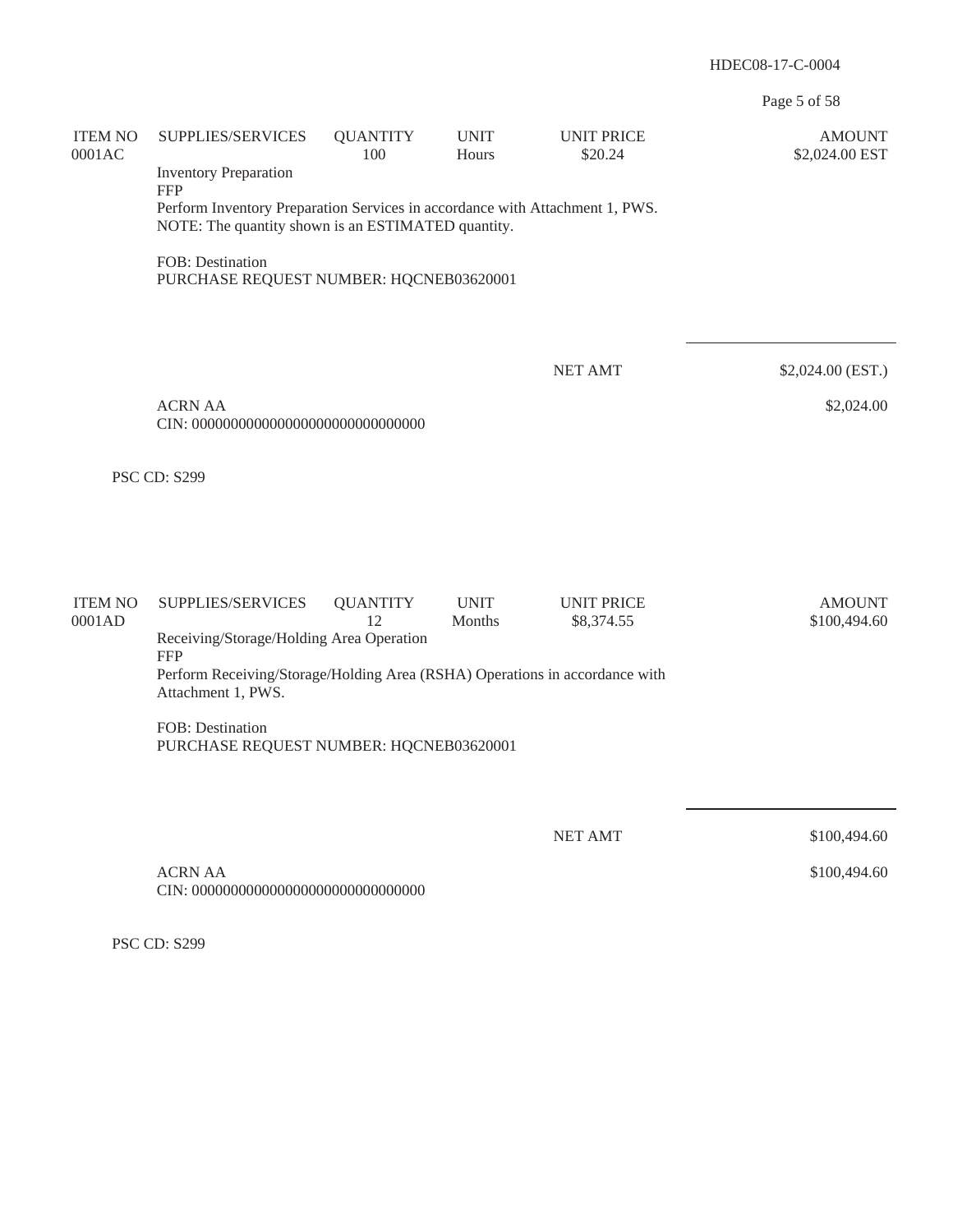Page 5 of 58

| <b>ITEM NO</b><br>0001AC | SUPPLIES/SERVICES<br><b>Inventory Preparation</b><br><b>FFP</b><br>Perform Inventory Preparation Services in accordance with Attachment 1, PWS.<br>NOTE: The quantity shown is an ESTIMATED quantity. | <b>QUANTITY</b><br>100 | <b>UNIT</b><br>Hours  | <b>UNIT PRICE</b><br>\$20.24    | <b>AMOUNT</b><br>\$2,024.00 EST |
|--------------------------|-------------------------------------------------------------------------------------------------------------------------------------------------------------------------------------------------------|------------------------|-----------------------|---------------------------------|---------------------------------|
|                          | FOB: Destination<br>PURCHASE REQUEST NUMBER: HQCNEB03620001                                                                                                                                           |                        |                       |                                 |                                 |
|                          |                                                                                                                                                                                                       |                        |                       | <b>NET AMT</b>                  | \$2,024.00 (EST.)               |
|                          | <b>ACRN AA</b>                                                                                                                                                                                        |                        |                       |                                 | \$2,024.00                      |
|                          | <b>PSC CD: S299</b>                                                                                                                                                                                   |                        |                       |                                 |                                 |
|                          |                                                                                                                                                                                                       |                        |                       |                                 |                                 |
| <b>ITEM NO</b><br>0001AD | SUPPLIES/SERVICES<br>Receiving/Storage/Holding Area Operation                                                                                                                                         | <b>QUANTITY</b><br>12  | <b>UNIT</b><br>Months | <b>UNIT PRICE</b><br>\$8,374.55 | <b>AMOUNT</b><br>\$100,494.60   |
|                          | <b>FFP</b><br>Perform Receiving/Storage/Holding Area (RSHA) Operations in accordance with<br>Attachment 1, PWS.                                                                                       |                        |                       |                                 |                                 |
|                          | FOB: Destination<br>PURCHASE REQUEST NUMBER: HQCNEB03620001                                                                                                                                           |                        |                       |                                 |                                 |
|                          |                                                                                                                                                                                                       |                        |                       | <b>NET AMT</b>                  | \$100,494.60                    |
|                          | <b>ACRN AA</b>                                                                                                                                                                                        |                        |                       |                                 | \$100,494.60                    |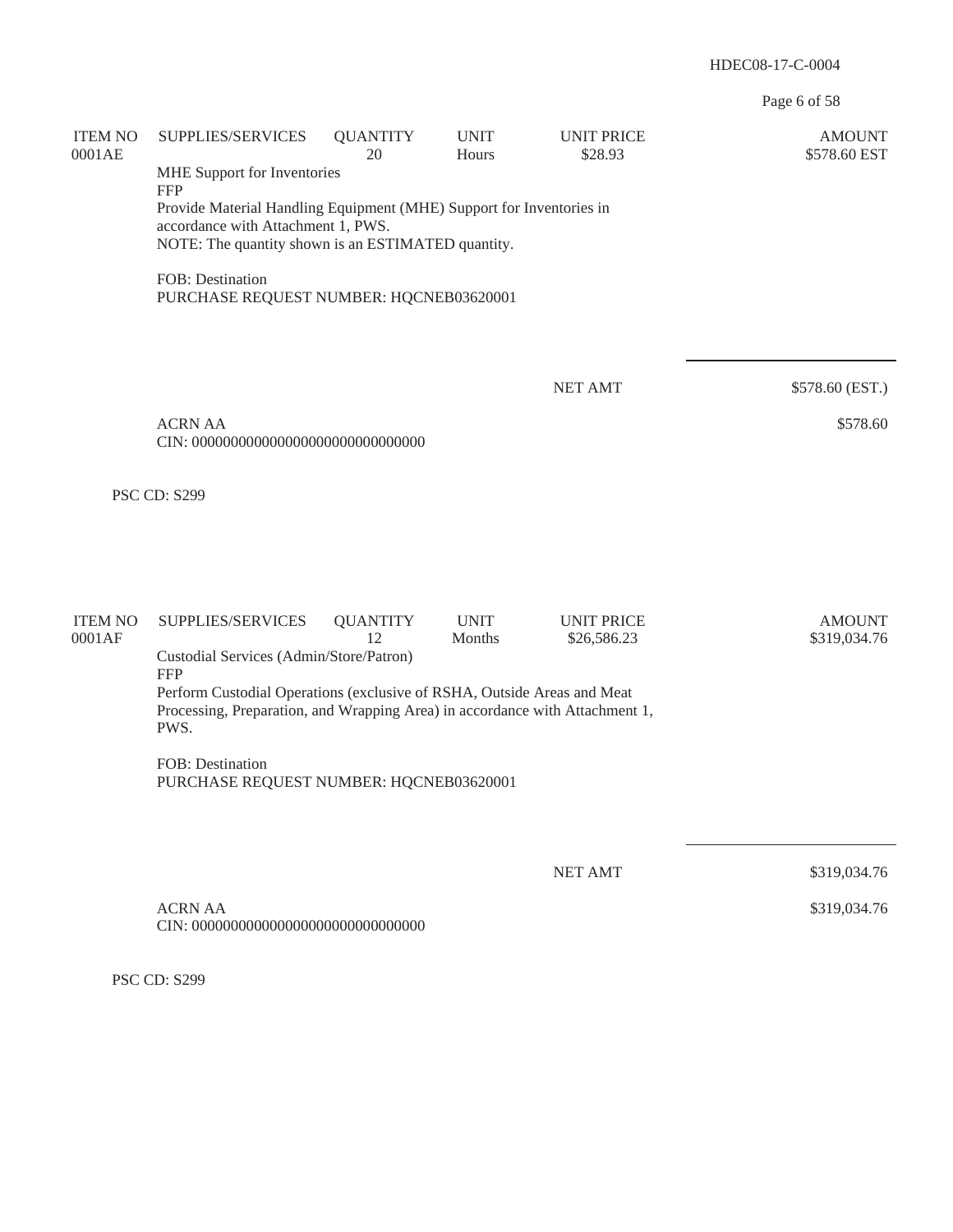Page 6 of 58

| <b>ITEM NO</b><br>0001AE | SUPPLIES/SERVICES                                                                                                                                                | <b>QUANTITY</b><br>20 | <b>UNIT</b><br>Hours  | <b>UNIT PRICE</b><br>\$28.93     | <b>AMOUNT</b><br>\$578.60 EST |
|--------------------------|------------------------------------------------------------------------------------------------------------------------------------------------------------------|-----------------------|-----------------------|----------------------------------|-------------------------------|
|                          | MHE Support for Inventories<br><b>FFP</b>                                                                                                                        |                       |                       |                                  |                               |
|                          | Provide Material Handling Equipment (MHE) Support for Inventories in<br>accordance with Attachment 1, PWS.<br>NOTE: The quantity shown is an ESTIMATED quantity. |                       |                       |                                  |                               |
|                          | FOB: Destination<br>PURCHASE REQUEST NUMBER: HQCNEB03620001                                                                                                      |                       |                       |                                  |                               |
|                          |                                                                                                                                                                  |                       |                       | <b>NET AMT</b>                   | \$578.60 (EST.)               |
|                          | <b>ACRN AA</b>                                                                                                                                                   |                       |                       |                                  | \$578.60                      |
|                          | <b>PSC CD: S299</b>                                                                                                                                              |                       |                       |                                  |                               |
|                          |                                                                                                                                                                  |                       |                       |                                  |                               |
| <b>ITEM NO</b><br>0001AF | SUPPLIES/SERVICES                                                                                                                                                | <b>QUANTITY</b><br>12 | <b>UNIT</b><br>Months | <b>UNIT PRICE</b><br>\$26,586.23 | <b>AMOUNT</b><br>\$319,034.76 |
|                          | Custodial Services (Admin/Store/Patron)<br><b>FFP</b>                                                                                                            |                       |                       |                                  |                               |
|                          | Perform Custodial Operations (exclusive of RSHA, Outside Areas and Meat<br>Processing, Preparation, and Wrapping Area) in accordance with Attachment 1,<br>PWS.  |                       |                       |                                  |                               |
|                          | FOB: Destination<br>PURCHASE REQUEST NUMBER: HQCNEB03620001                                                                                                      |                       |                       |                                  |                               |
|                          |                                                                                                                                                                  |                       |                       |                                  |                               |
|                          |                                                                                                                                                                  |                       |                       | <b>NET AMT</b>                   | \$319,034.76                  |
|                          | <b>ACRN AA</b>                                                                                                                                                   |                       |                       |                                  | \$319,034.76                  |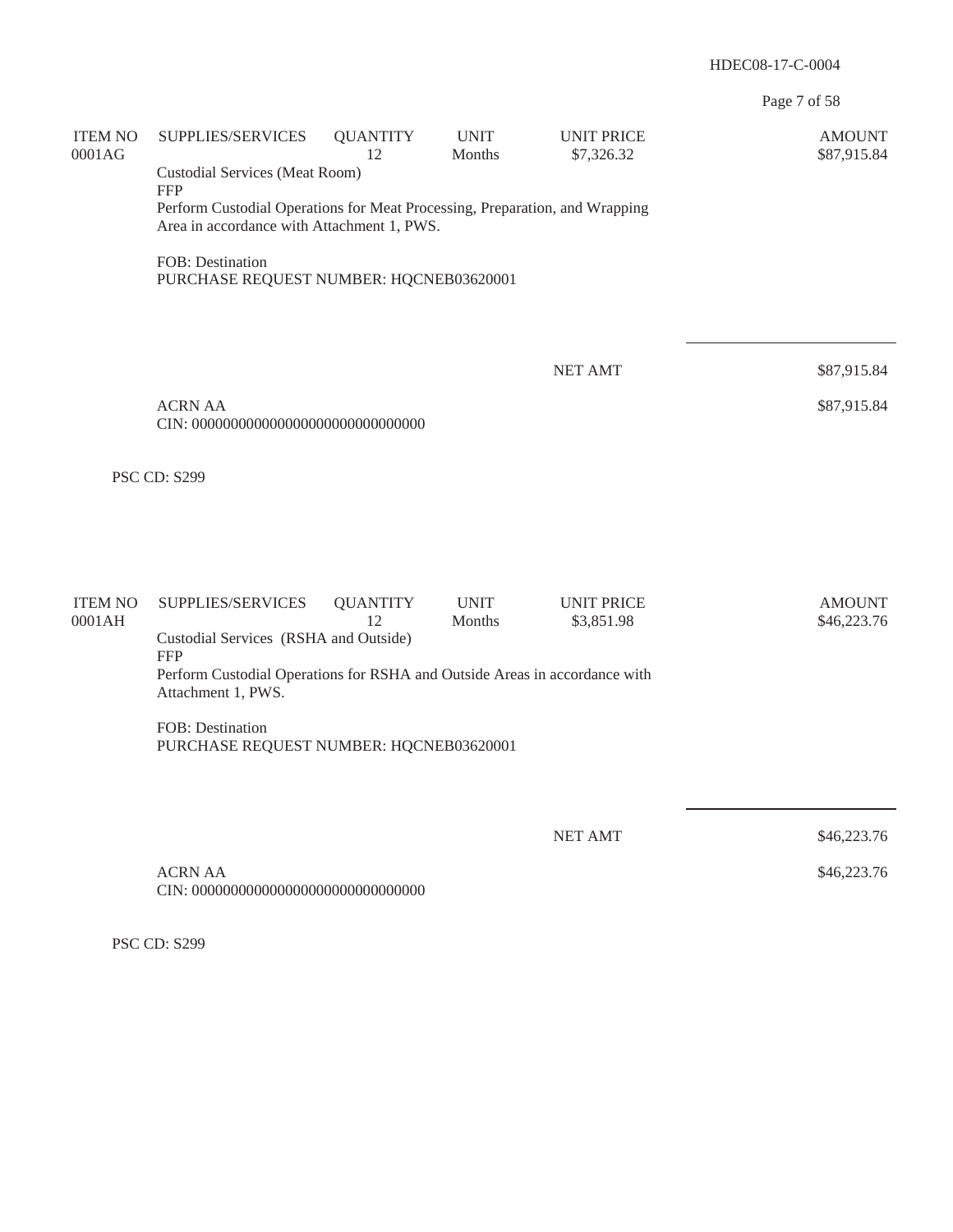Page 7 of 58

| <b>ITEM NO</b><br>0001AG | SUPPLIES/SERVICES                                                                                | <b>QUANTITY</b><br>12                                                                                                     | <b>UNIT</b><br>Months | <b>UNIT PRICE</b><br>\$7,326.32 | <b>AMOUNT</b><br>\$87,915.84 |  |  |  |  |
|--------------------------|--------------------------------------------------------------------------------------------------|---------------------------------------------------------------------------------------------------------------------------|-----------------------|---------------------------------|------------------------------|--|--|--|--|
|                          | <b>Custodial Services (Meat Room)</b><br><b>FFP</b>                                              |                                                                                                                           |                       |                                 |                              |  |  |  |  |
|                          |                                                                                                  | Perform Custodial Operations for Meat Processing, Preparation, and Wrapping<br>Area in accordance with Attachment 1, PWS. |                       |                                 |                              |  |  |  |  |
|                          | FOB: Destination<br>PURCHASE REQUEST NUMBER: HQCNEB03620001                                      |                                                                                                                           |                       |                                 |                              |  |  |  |  |
|                          |                                                                                                  |                                                                                                                           |                       |                                 |                              |  |  |  |  |
|                          |                                                                                                  |                                                                                                                           |                       | <b>NET AMT</b>                  | \$87,915.84                  |  |  |  |  |
|                          | <b>ACRN AA</b>                                                                                   |                                                                                                                           |                       |                                 | \$87,915.84                  |  |  |  |  |
|                          | <b>PSC CD: S299</b>                                                                              |                                                                                                                           |                       |                                 |                              |  |  |  |  |
|                          |                                                                                                  |                                                                                                                           |                       |                                 |                              |  |  |  |  |
| <b>ITEM NO</b><br>0001AH | SUPPLIES/SERVICES                                                                                | <b>QUANTITY</b><br>12                                                                                                     | <b>UNIT</b><br>Months | <b>UNIT PRICE</b><br>\$3,851.98 | <b>AMOUNT</b><br>\$46,223.76 |  |  |  |  |
|                          | Custodial Services (RSHA and Outside)<br><b>FFP</b>                                              |                                                                                                                           |                       |                                 |                              |  |  |  |  |
|                          | Perform Custodial Operations for RSHA and Outside Areas in accordance with<br>Attachment 1, PWS. |                                                                                                                           |                       |                                 |                              |  |  |  |  |
|                          | FOB: Destination<br>PURCHASE REQUEST NUMBER: HQCNEB03620001                                      |                                                                                                                           |                       |                                 |                              |  |  |  |  |
|                          |                                                                                                  |                                                                                                                           |                       |                                 |                              |  |  |  |  |
|                          |                                                                                                  |                                                                                                                           |                       | <b>NET AMT</b>                  | \$46,223.76                  |  |  |  |  |
|                          | <b>ACRN AA</b>                                                                                   |                                                                                                                           |                       |                                 | \$46,223.76                  |  |  |  |  |